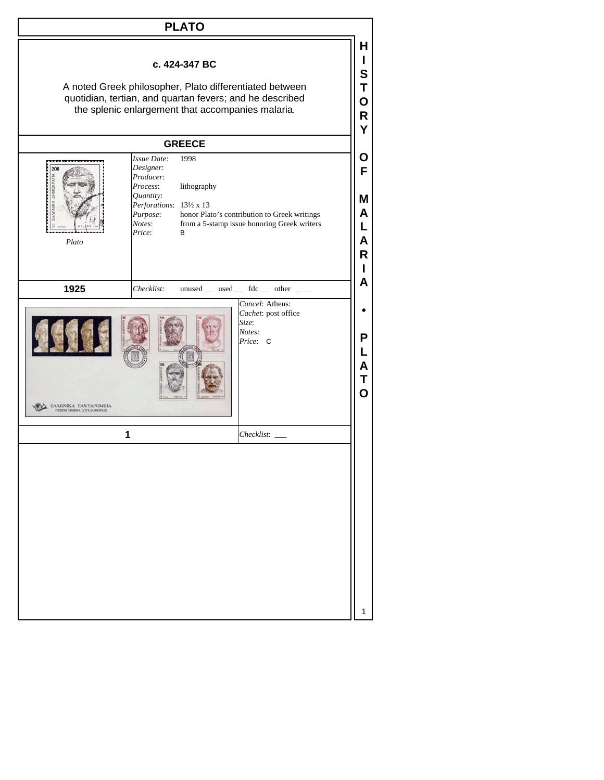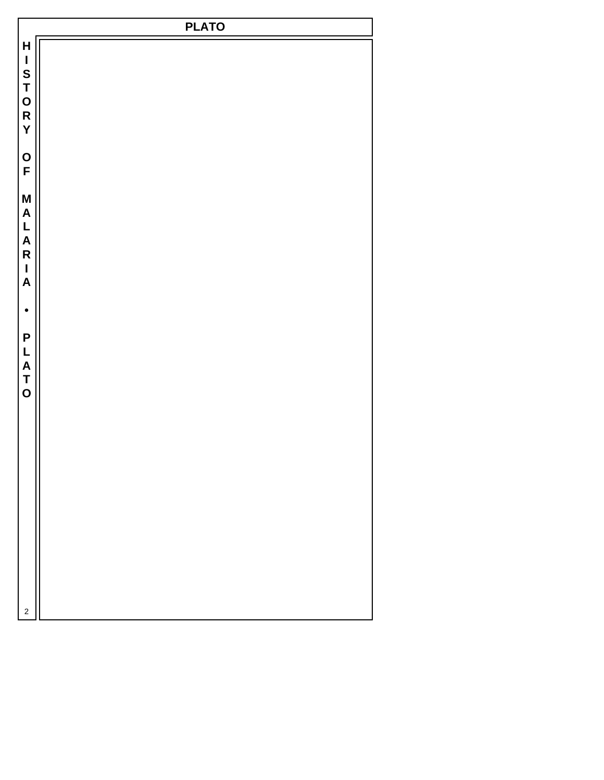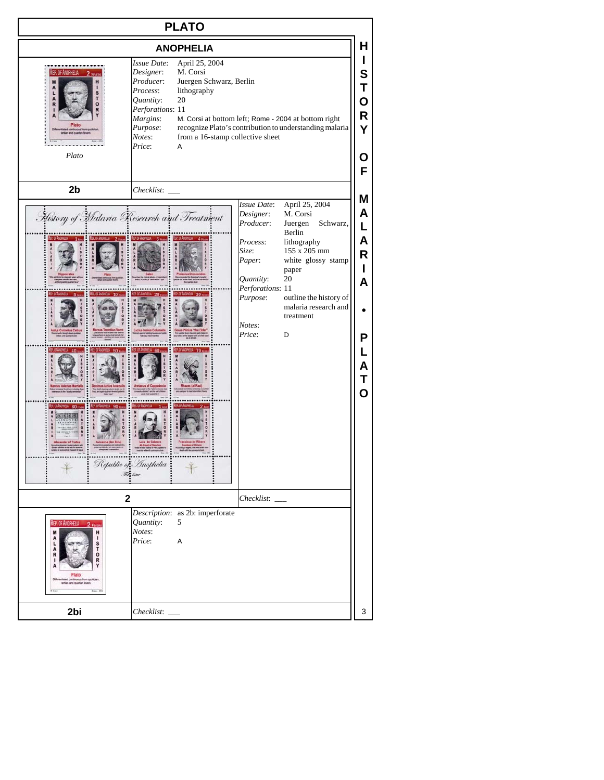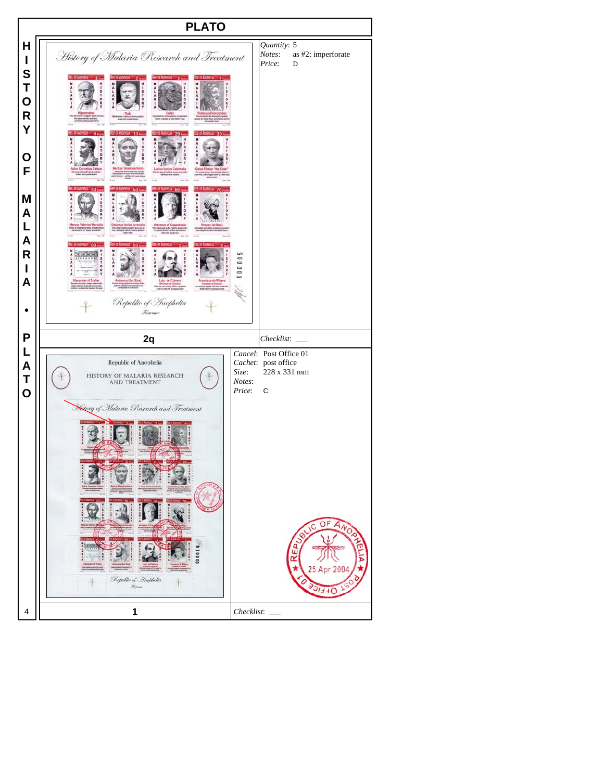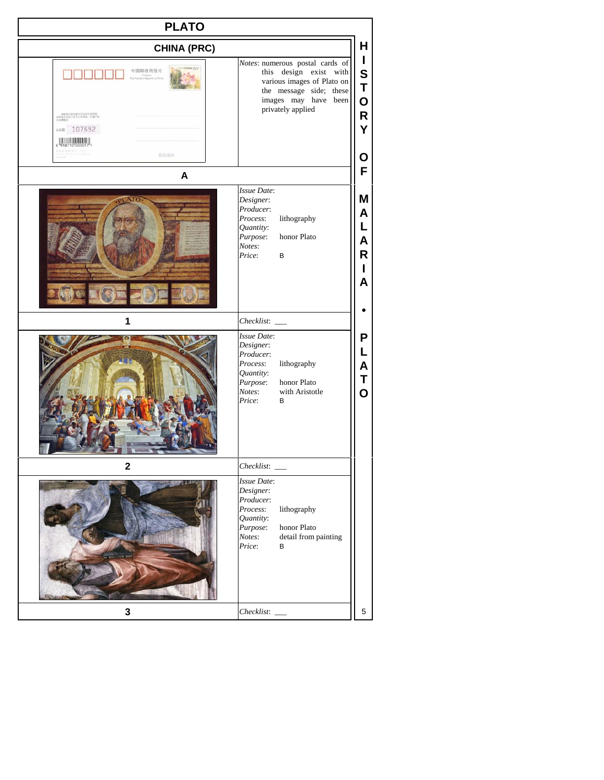| <b>PLATO</b>                                                                                     |                                                                                                                                                                                                                                   |
|--------------------------------------------------------------------------------------------------|-----------------------------------------------------------------------------------------------------------------------------------------------------------------------------------------------------------------------------------|
| <b>CHINA (PRC)</b>                                                                               | н                                                                                                                                                                                                                                 |
| 中国邮政明信片<br>本制技术的导营生学及可打出区域。<br>連修業児活動行政行政活案、長者中核<br>丸法連邦文<br>AA加 107692<br><b>U</b> WARD<br>科权情码 | $\mathbf{I}$<br>Notes: numerous postal cards of<br>$\mathbf S$<br>this design exist with<br>various images of Plato on<br>T<br>the message side; these<br>images may have been<br>$\mathbf 0$<br>privately applied<br>R<br>Y<br>О |
| A<br><b>NFO</b>                                                                                  | F<br>Issue Date:<br>Μ<br>Designer:<br>Producer:<br>A<br>lithography<br>Process:<br>L<br>Quantity:<br>honor Plato<br>Purpose:<br>A<br>Notes:<br>R<br>Price:<br>В<br>L<br>A                                                         |
| 1                                                                                                | Checklist:                                                                                                                                                                                                                        |
|                                                                                                  | Issue Date:<br>P<br>Designer:<br>L<br>Producer:<br>lithography<br>Process:<br>A<br>Quantity:<br>Τ<br>honor Plato<br>Purpose:<br>$\overline{O}$<br>Notes:<br>with Aristotle<br>Price:<br>В                                         |
| $\mathbf 2$                                                                                      |                                                                                                                                                                                                                                   |
|                                                                                                  | <b>Issue Date:</b><br>Designer:<br>Producer:<br>Process:<br>lithography<br>Quantity:<br>Purpose:<br>honor Plato<br>detail from painting<br>Notes:<br>Price:<br>В                                                                  |
| 3                                                                                                | 5                                                                                                                                                                                                                                 |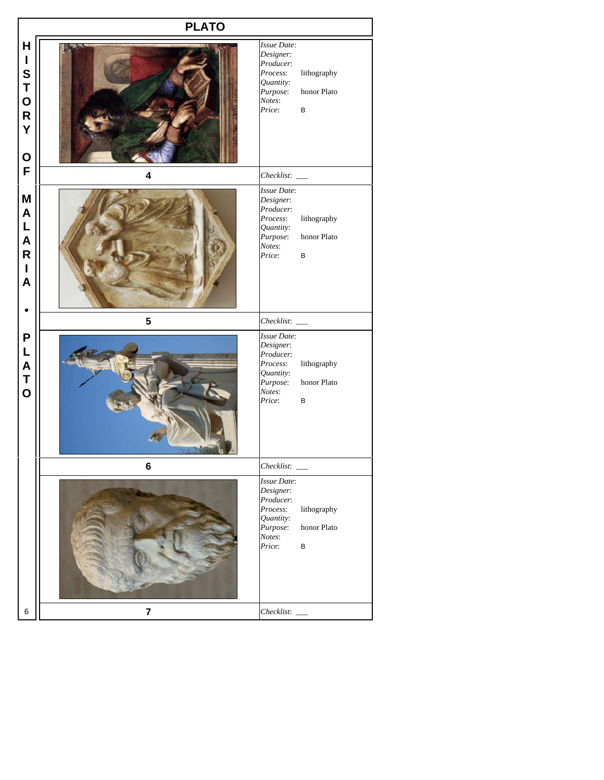|                                                                                          | <b>PLATO</b>            |                                                                                                                                   |
|------------------------------------------------------------------------------------------|-------------------------|-----------------------------------------------------------------------------------------------------------------------------------|
| H<br>$\mathbf I$<br>S<br>T<br>O<br>R<br>Y<br>$\mathbf O$                                 |                         | Issue Date:<br>Designer:<br>Producer:<br>Process:<br>lithography<br>Quantity:<br>honor Plato<br>Purpose:<br>Notes:<br>Price:<br>B |
| F                                                                                        | $\overline{\mathbf{4}}$ |                                                                                                                                   |
| M<br>$\boldsymbol{\mathsf{A}}$<br>L<br>A<br>$\overline{\mathsf{R}}$<br>$\mathbf{I}$<br>A |                         | Issue Date:<br>Designer:<br>Producer:<br>Process:<br>lithography<br>Quantity:<br>honor Plato<br>Purpose:<br>Notes:<br>Price:<br>В |
|                                                                                          | $\overline{\mathbf{5}}$ | $Checklist:$ $\_\_$                                                                                                               |
| P<br>L<br>A<br>T<br>O                                                                    |                         | Issue Date:<br>Designer:<br>Producer:<br>lithography<br>Process:<br>Quantity:<br>honor Plato<br>Purpose:<br>Notes:<br>Price:<br>В |
|                                                                                          | 6                       | Checklist:                                                                                                                        |
|                                                                                          |                         | Issue Date:<br>Designer:<br>Producer:<br>Process:<br>lithography<br>Quantity:<br>honor Plato<br>Purpose:<br>Notes:<br>Price:<br>В |
| $\,6$                                                                                    | $\overline{\mathbf{7}}$ | Checklist:                                                                                                                        |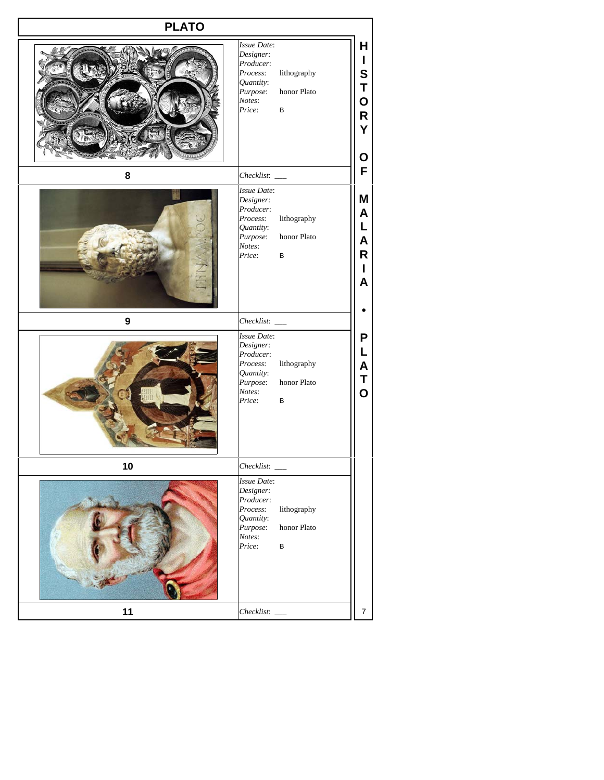| <b>PLATO</b> |                                                                                                                                                                                            |
|--------------|--------------------------------------------------------------------------------------------------------------------------------------------------------------------------------------------|
|              | Issue Date:<br>Н<br>Designer:<br>$\mathbf{I}$<br>Producer:<br>S<br>lithography<br>Process:<br>Quantity:<br>T<br>honor Plato<br>Purpose:<br>Notes:<br>O<br>Price:<br>$\sf B$<br>R<br>Y<br>O |
| 8            | F                                                                                                                                                                                          |
|              | <b>Issue Date:</b><br>M<br>Designer:<br>Producer:<br>A<br>Process:<br>lithography<br>L<br>Quantity:<br>honor Plato<br>Purpose:<br>A<br>Notes:<br>R<br>Price:<br>в<br>L<br>A                |
| 9            |                                                                                                                                                                                            |
|              | Issue Date:<br>P<br>Designer:<br>L<br>Producer:<br>lithography<br>Process:<br>A<br>Quantity:<br>T<br>Purpose:<br>honor Plato<br>$\overline{\mathbf{o}}$<br>Notes:<br>Price:<br>В           |
| 10           |                                                                                                                                                                                            |
|              | <b>Issue Date:</b><br>Designer:<br>Producer:<br>lithography<br>Process:<br>Quantity:<br>honor Plato<br>Purpose:<br>Notes:<br>Price:<br>$\sf B$                                             |
| 11           | $\boldsymbol{7}$<br>Checklist:                                                                                                                                                             |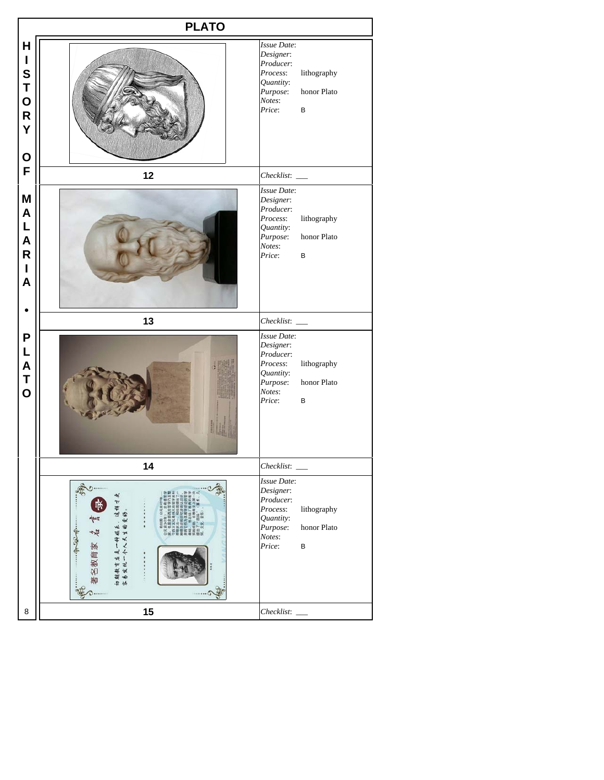|                                                                      | <b>PLATO</b>                                                                              |                                                                                                                                         |
|----------------------------------------------------------------------|-------------------------------------------------------------------------------------------|-----------------------------------------------------------------------------------------------------------------------------------------|
| H<br>$\mathsf I$<br>S<br>T<br>O<br>$\mathsf{R}$<br>Y<br>$\mathbf 0$  |                                                                                           | Issue Date:<br>Designer:<br>Producer:<br>Process:<br>lithography<br>Quantity:<br>honor Plato<br>Purpose:<br>Notes:<br>Price:<br>$\sf B$ |
| F                                                                    | 12                                                                                        |                                                                                                                                         |
| M<br>A<br>L<br>$\boldsymbol{A}$<br>$\mathsf{R}$<br>$\mathsf{I}$<br>A |                                                                                           | Issue Date:<br>Designer:<br>Producer:<br>Process:<br>lithography<br>Quantity:<br>honor Plato<br>Purpose:<br>Notes:<br>Price:<br>B       |
|                                                                      | 13                                                                                        |                                                                                                                                         |
| P<br>L<br>A<br>T<br>O                                                |                                                                                           | Issue Date:<br>Designer:<br>Producer:<br>lithography<br>Process:<br>Quantity:<br>honor Plato<br>Purpose:<br>Notes:<br>Price:<br>В       |
|                                                                      | 14                                                                                        | Checklist:                                                                                                                              |
|                                                                      | È<br>,这样才要<br>)爱好。<br>244<br>初期教育虚是一种娱乐<br>客易发现一个人天生的<br>$+22.7$<br>u<br>田<br>家<br>胍<br>燓 | Issue Date:<br>Designer:<br>Producer:<br>Process:<br>lithography<br>Quantity:<br>honor Plato<br>Purpose:<br>Notes:<br>Price:<br>$\sf B$ |
| 8                                                                    | 15                                                                                        |                                                                                                                                         |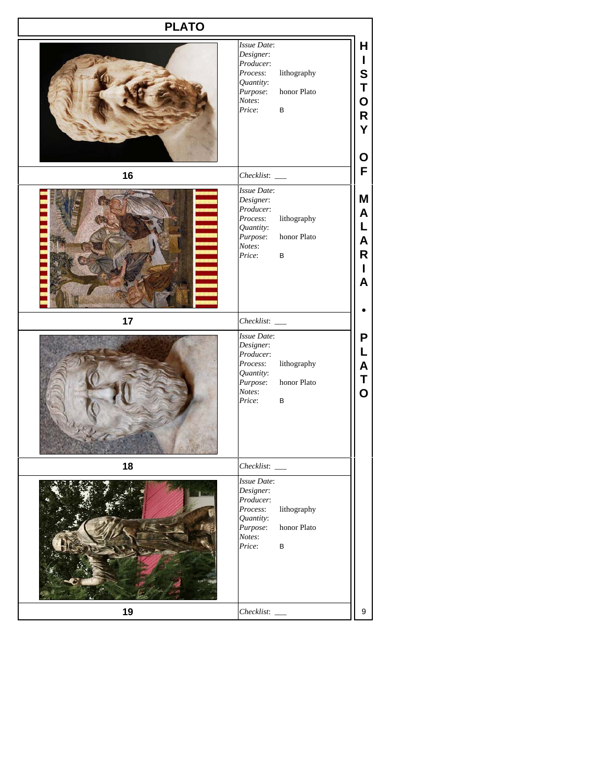| <b>PLATO</b> |                                                                                                                                                                                                                       |
|--------------|-----------------------------------------------------------------------------------------------------------------------------------------------------------------------------------------------------------------------|
|              | H<br>Issue Date:<br>Designer:<br>$\mathbf{I}$<br>Producer:<br>S<br>Process:<br>lithography<br>Quantity:<br>T<br>honor Plato<br>Purpose:<br>O<br>Notes:<br>Price:<br>$\sf B$<br>$\mathsf{R}% _{T}$<br>Y<br>$\mathbf O$ |
| 16           | F                                                                                                                                                                                                                     |
|              | Issue Date:<br>Μ<br>Designer:<br>Producer:<br>A<br>lithography<br>Process:<br>L<br>Quantity:<br>honor Plato<br>Purpose:<br>A<br>Notes:<br>$\mathsf R$<br>Price:<br>$\sf B$<br>I<br>$\overline{\mathsf{A}}$            |
| 17           |                                                                                                                                                                                                                       |
|              | Issue Date:<br>P<br>Designer:<br>L<br>Producer:<br>lithography<br>Process:<br>$\mathsf{A}$<br>Quantity:<br>T<br>honor Plato<br>Purpose:<br>$\overline{O}$<br>Notes:<br>Price:<br>В                                    |
| 18           | Checklist:                                                                                                                                                                                                            |
|              | <b>Issue Date:</b><br>Designer:<br>Producer:<br>lithography<br>Process:<br>Quantity:<br>Purpose:<br>honor Plato<br>Notes:<br>Price:<br>$\sf B$                                                                        |
| 19           | 9                                                                                                                                                                                                                     |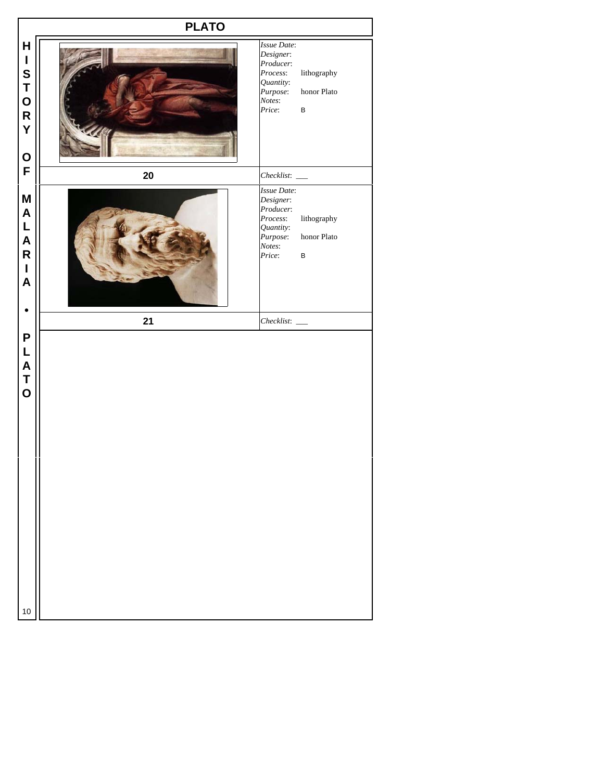|                                                                                                      | <b>PLATO</b> |                                                                                                |                                       |
|------------------------------------------------------------------------------------------------------|--------------|------------------------------------------------------------------------------------------------|---------------------------------------|
| $\mathsf{H}$<br>$\mathbf I$<br>S<br>T<br>O<br>R<br>Y<br>O<br>F                                       |              | Issue Date:<br>Designer:<br>Producer:<br>Process:<br>Quantity:<br>Purpose:<br>Notes:<br>Price: | lithography<br>honor Plato<br>$\sf B$ |
|                                                                                                      | 20           |                                                                                                |                                       |
| $\boldsymbol{\mathsf{M}}$<br>$\blacktriangle$<br>L<br>A<br>R<br>I<br>$\pmb{\mathsf{A}}$<br>$\bullet$ |              | Issue Date:<br>Designer:<br>Producer:<br>Process:<br>Quantity:<br>Purpose:<br>Notes:<br>Price: | lithography<br>honor Plato<br>$\sf B$ |
|                                                                                                      | 21           | $Checklist:$ $\_\_$                                                                            |                                       |
| P<br>L<br>A<br>T<br>O                                                                                |              |                                                                                                |                                       |
| 10                                                                                                   |              |                                                                                                |                                       |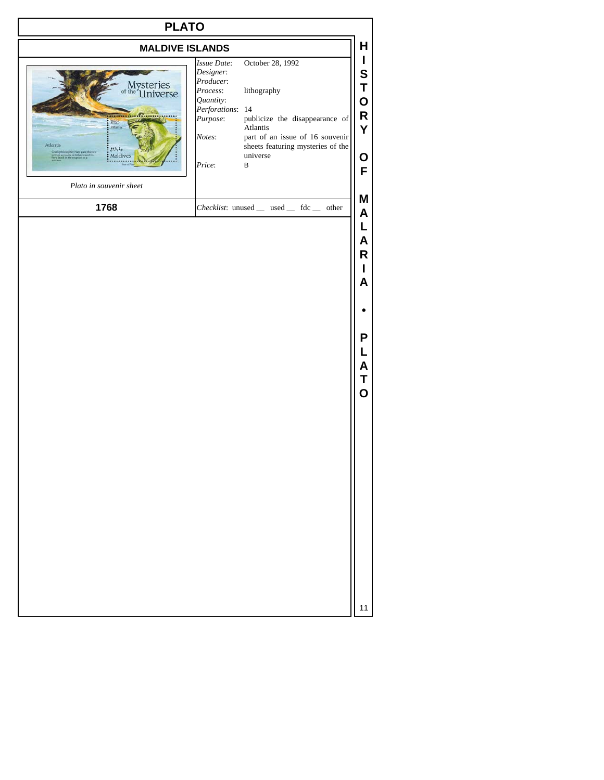| н<br>I<br>October 28, 1992<br>S<br>T<br>lithography<br>O<br>Perforations: 14<br>R<br>publicize the disappearance of<br>Atlantis<br>Y<br>part of an issue of 16 souvenir |
|-------------------------------------------------------------------------------------------------------------------------------------------------------------------------|
|                                                                                                                                                                         |
| sheets featuring mysteries of the<br>universe<br>O<br>$\, {\bf B}$<br>F                                                                                                 |
| M<br>Checklist: unused _ used _ fdc _ other<br>A                                                                                                                        |
| L<br>A<br>R<br>L<br>A<br>P<br>L<br>Α<br>Τ<br>$\overline{O}$                                                                                                             |
|                                                                                                                                                                         |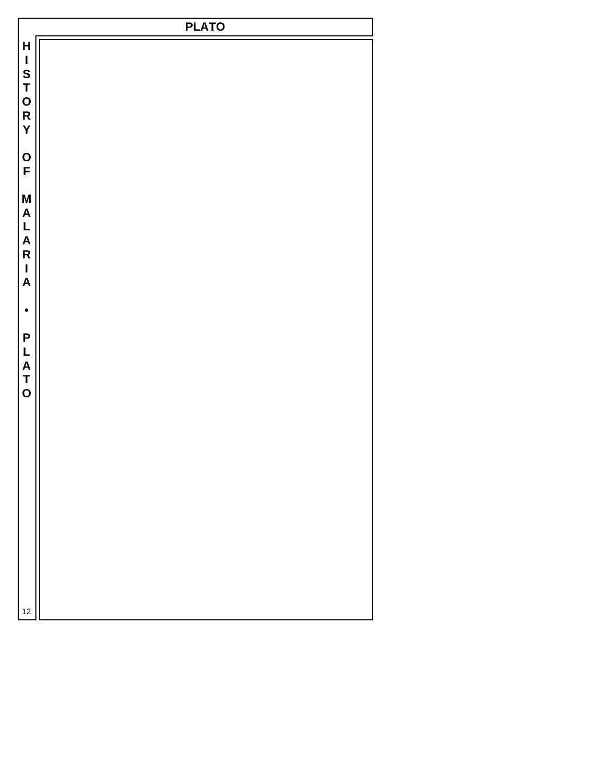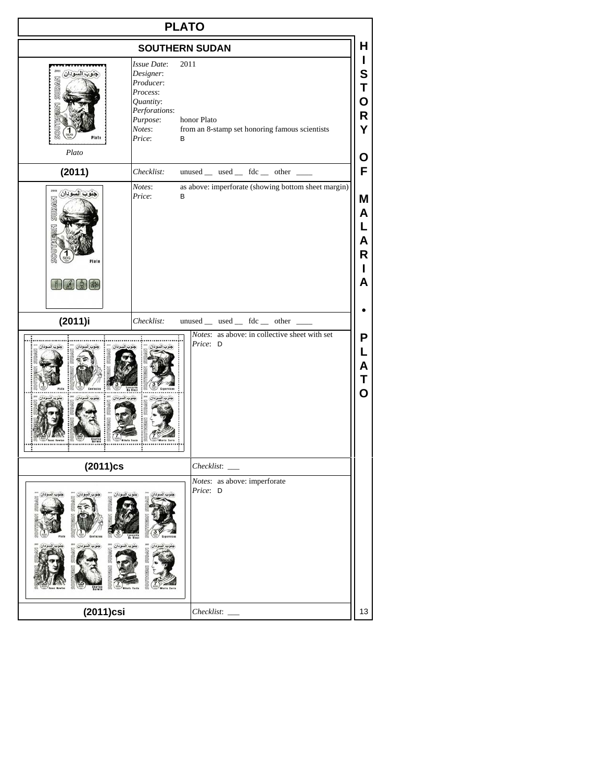| <b>PLATO</b>                           |                                                                                                                      |                                                                       |                                 |
|----------------------------------------|----------------------------------------------------------------------------------------------------------------------|-----------------------------------------------------------------------|---------------------------------|
|                                        | <b>SOUTHERN SUDAN</b>                                                                                                |                                                                       | Н                               |
| Plato                                  | Issue Date:<br>Designer:<br>Producer:<br>Process:<br>Quantity:<br>Perforations:<br>Purpose:<br>Notes:<br>Price:<br>в | 2011<br>honor Plato<br>from an 8-stamp set honoring famous scientists | T<br>S<br>Τ<br>O<br>R<br>Y<br>О |
| (2011)                                 | Checklist:                                                                                                           | unused _ used _ fdc _ other _                                         | F                               |
| 2011<br>جنوب السودان<br>SUDAN<br>Plate | Notes:<br>Price:<br>В                                                                                                | as above: imperforate (showing bottom sheet margin)                   | Μ<br>A<br>L<br>A<br>R<br>Н<br>A |
| (2011)i                                | Checklist:                                                                                                           | unused _ used _ fdc _ other _                                         |                                 |
|                                        |                                                                                                                      | Notes: as above: in collective sheet with set<br>Price: D             | P<br>L<br>Α<br>Τ<br>O           |
| $(2011)$ cs                            |                                                                                                                      | Checklist:                                                            |                                 |
| castacias                              |                                                                                                                      | Notes: as above: imperforate<br>Price: D                              |                                 |
| (2011)csi                              |                                                                                                                      | Checklist:                                                            | 13                              |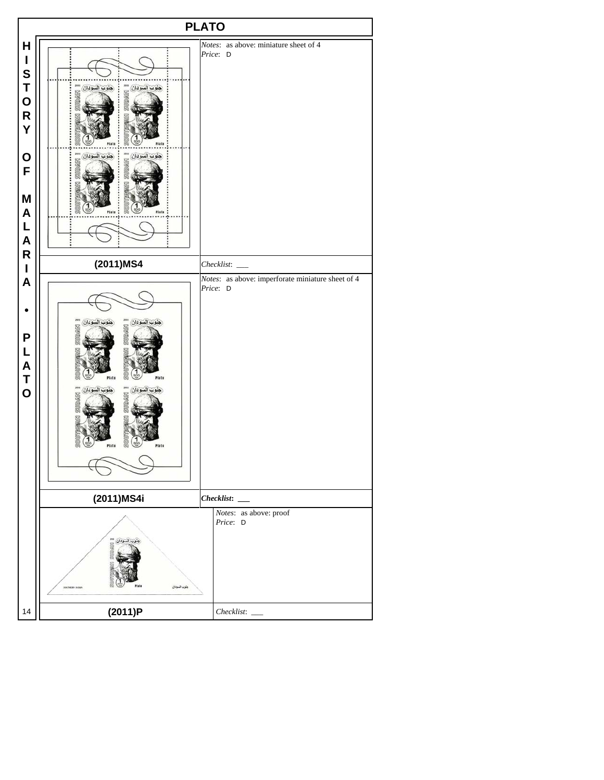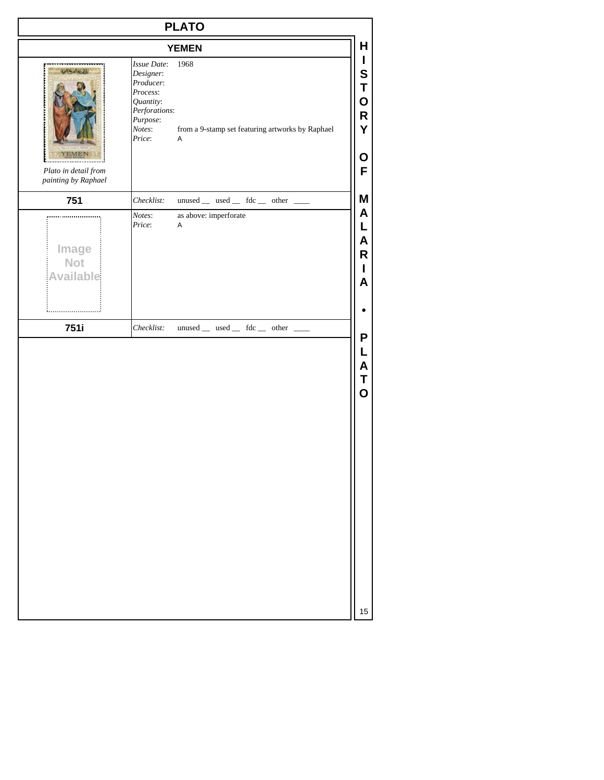| <b>PLATO</b>                                              |                                                                                                                 |                                                               |
|-----------------------------------------------------------|-----------------------------------------------------------------------------------------------------------------|---------------------------------------------------------------|
|                                                           |                                                                                                                 | <b>YEMEN</b>                                                  |
| التهالينية<br>Plato in detail from<br>painting by Raphael | Issue Date:<br>Designer:<br>Producer:<br>Process:<br>Quantity:<br>Perforations:<br>Purpose:<br>Notes:<br>Price: | 1968<br>from a 9-stamp set featuring artworks by Raphael<br>Α |
| 751                                                       | Checklist:                                                                                                      | $unused$ __ used __ fdc __ other __                           |
| Image<br><b>Not</b><br><b>Available</b>                   | Price:                                                                                                          | $\boldsymbol{\mathsf{A}}$                                     |
| 751i                                                      | Checklist:                                                                                                      | $unused$ __ used __ fdc __ other __                           |
|                                                           |                                                                                                                 |                                                               |
|                                                           |                                                                                                                 |                                                               |
|                                                           |                                                                                                                 |                                                               |
|                                                           |                                                                                                                 |                                                               |
|                                                           |                                                                                                                 |                                                               |
|                                                           |                                                                                                                 |                                                               |
|                                                           |                                                                                                                 |                                                               |